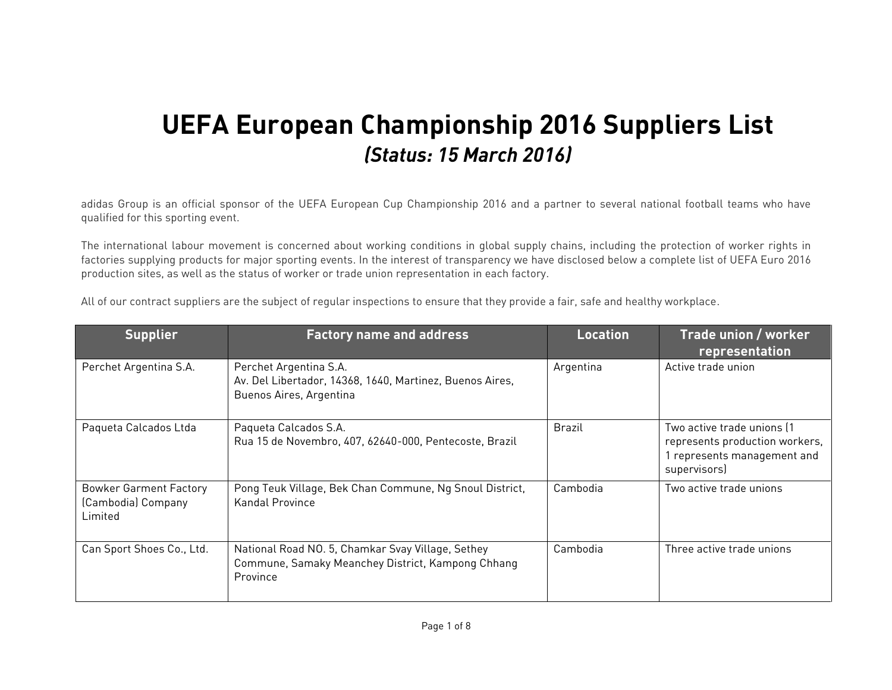## **UEFA European Championship 2016 Suppliers List** *(Status: 15 March 2016)*

adidas Group is an official sponsor of the UEFA European Cup Championship 2016 and a partner to several national football teams who have qualified for this sporting event.

The international labour movement is concerned about working conditions in global supply chains, including the protection of worker rights in factories supplying products for major sporting events. In the interest of transparency we have disclosed below a complete list of UEFA Euro 2016 production sites, as well as the status of worker or trade union representation in each factory.

| <b>Supplier</b>                                                | <b>Factory name and address</b>                                                                                    | Location      | Trade union / worker<br>representation                                                                    |
|----------------------------------------------------------------|--------------------------------------------------------------------------------------------------------------------|---------------|-----------------------------------------------------------------------------------------------------------|
| Perchet Argentina S.A.                                         | Perchet Argentina S.A.<br>Av. Del Libertador, 14368, 1640, Martinez, Buenos Aires,<br>Buenos Aires, Argentina      | Argentina     | Active trade union                                                                                        |
| Paqueta Calcados Ltda                                          | Paqueta Calcados S.A.<br>Rua 15 de Novembro, 407, 62640-000, Pentecoste, Brazil                                    | <b>Brazil</b> | Two active trade unions [1<br>represents production workers,<br>represents management and<br>supervisors) |
| <b>Bowker Garment Factory</b><br>(Cambodia) Company<br>Limited | Pong Teuk Village, Bek Chan Commune, Ng Snoul District,<br>Kandal Province                                         | Cambodia      | Two active trade unions                                                                                   |
| Can Sport Shoes Co., Ltd.                                      | National Road NO. 5, Chamkar Svay Village, Sethey<br>Commune, Samaky Meanchey District, Kampong Chhang<br>Province | Cambodia      | Three active trade unions                                                                                 |

All of our contract suppliers are the subject of regular inspections to ensure that they provide a fair, safe and healthy workplace.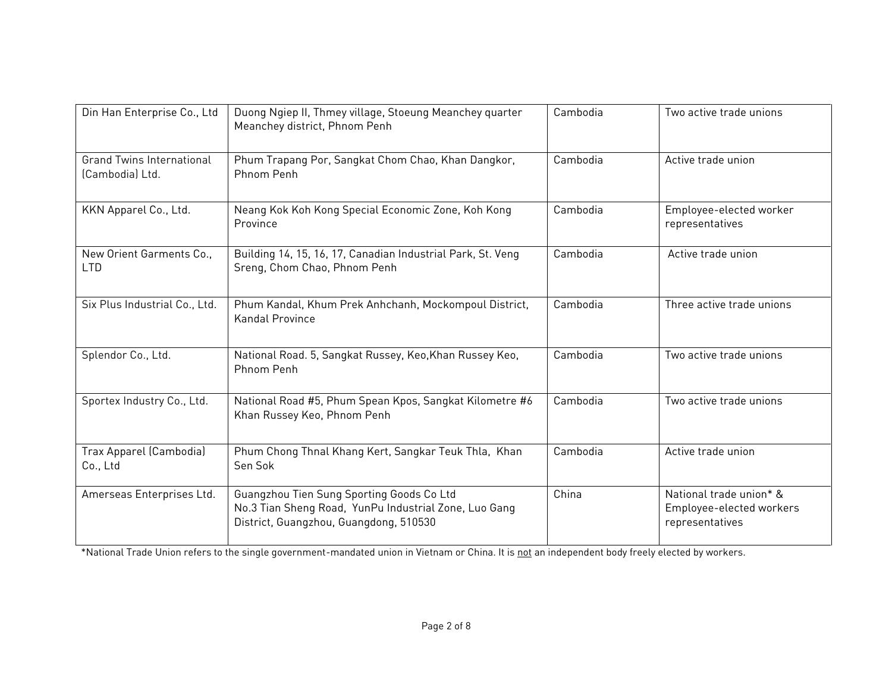| Din Han Enterprise Co., Ltd                         | Duong Ngiep II, Thmey village, Stoeung Meanchey quarter<br>Meanchey district, Phnom Penh                                                     | Cambodia | Two active trade unions                                                |
|-----------------------------------------------------|----------------------------------------------------------------------------------------------------------------------------------------------|----------|------------------------------------------------------------------------|
| <b>Grand Twins International</b><br>(Cambodia) Ltd. | Phum Trapang Por, Sangkat Chom Chao, Khan Dangkor,<br>Phnom Penh                                                                             | Cambodia | Active trade union                                                     |
| KKN Apparel Co., Ltd.                               | Neang Kok Koh Kong Special Economic Zone, Koh Kong<br>Province                                                                               | Cambodia | Employee-elected worker<br>representatives                             |
| New Orient Garments Co.,<br><b>LTD</b>              | Building 14, 15, 16, 17, Canadian Industrial Park, St. Veng<br>Sreng, Chom Chao, Phnom Penh                                                  | Cambodia | Active trade union                                                     |
| Six Plus Industrial Co., Ltd.                       | Phum Kandal, Khum Prek Anhchanh, Mockompoul District,<br><b>Kandal Province</b>                                                              | Cambodia | Three active trade unions                                              |
| Splendor Co., Ltd.                                  | National Road. 5, Sangkat Russey, Keo, Khan Russey Keo,<br>Phnom Penh                                                                        | Cambodia | Two active trade unions                                                |
| Sportex Industry Co., Ltd.                          | National Road #5, Phum Spean Kpos, Sangkat Kilometre #6<br>Khan Russey Keo, Phnom Penh                                                       | Cambodia | Two active trade unions                                                |
| Trax Apparel (Cambodia)<br>Co., Ltd                 | Phum Chong Thnal Khang Kert, Sangkar Teuk Thla, Khan<br>Sen Sok                                                                              | Cambodia | Active trade union                                                     |
| Amerseas Enterprises Ltd.                           | Guangzhou Tien Sung Sporting Goods Co Ltd<br>No.3 Tian Sheng Road, YunPu Industrial Zone, Luo Gang<br>District, Guangzhou, Guangdong, 510530 | China    | National trade union* &<br>Employee-elected workers<br>representatives |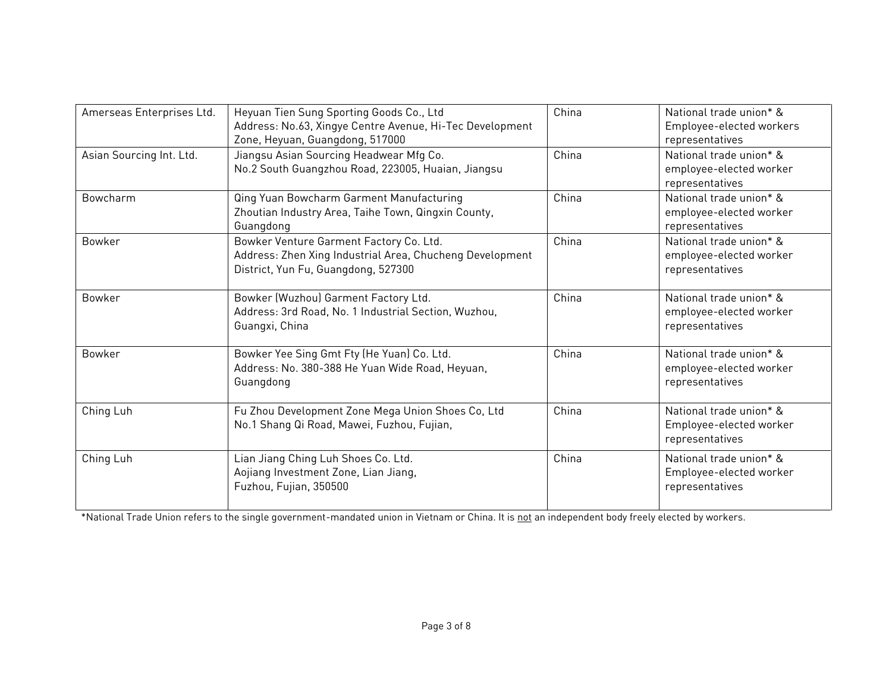| Amerseas Enterprises Ltd. | Heyuan Tien Sung Sporting Goods Co., Ltd<br>Address: No.63, Xingye Centre Avenue, Hi-Tec Development<br>Zone, Heyuan, Guangdong, 517000    | China | National trade union* &<br>Employee-elected workers<br>representatives |
|---------------------------|--------------------------------------------------------------------------------------------------------------------------------------------|-------|------------------------------------------------------------------------|
| Asian Sourcing Int. Ltd.  | Jiangsu Asian Sourcing Headwear Mfg Co.<br>No.2 South Guangzhou Road, 223005, Huaian, Jiangsu                                              | China | National trade union* &<br>employee-elected worker<br>representatives  |
| Bowcharm                  | Qing Yuan Bowcharm Garment Manufacturing<br>Zhoutian Industry Area, Taihe Town, Qingxin County,<br>Guangdong                               | China | National trade union* &<br>employee-elected worker<br>representatives  |
| Bowker                    | Bowker Venture Garment Factory Co. Ltd.<br>Address: Zhen Xing Industrial Area, Chucheng Development<br>District, Yun Fu, Guangdong, 527300 | China | National trade union* &<br>employee-elected worker<br>representatives  |
| Bowker                    | Bowker (Wuzhou) Garment Factory Ltd.<br>Address: 3rd Road, No. 1 Industrial Section, Wuzhou,<br>Guangxi, China                             | China | National trade union* &<br>employee-elected worker<br>representatives  |
| <b>Bowker</b>             | Bowker Yee Sing Gmt Fty (He Yuan) Co. Ltd.<br>Address: No. 380-388 He Yuan Wide Road, Heyuan,<br>Guangdong                                 | China | National trade union* &<br>employee-elected worker<br>representatives  |
| Ching Luh                 | Fu Zhou Development Zone Mega Union Shoes Co, Ltd<br>No.1 Shang Qi Road, Mawei, Fuzhou, Fujian,                                            | China | National trade union* &<br>Employee-elected worker<br>representatives  |
| Ching Luh                 | Lian Jiang Ching Luh Shoes Co. Ltd.<br>Aojiang Investment Zone, Lian Jiang,<br>Fuzhou, Fujian, 350500                                      | China | National trade union* &<br>Employee-elected worker<br>representatives  |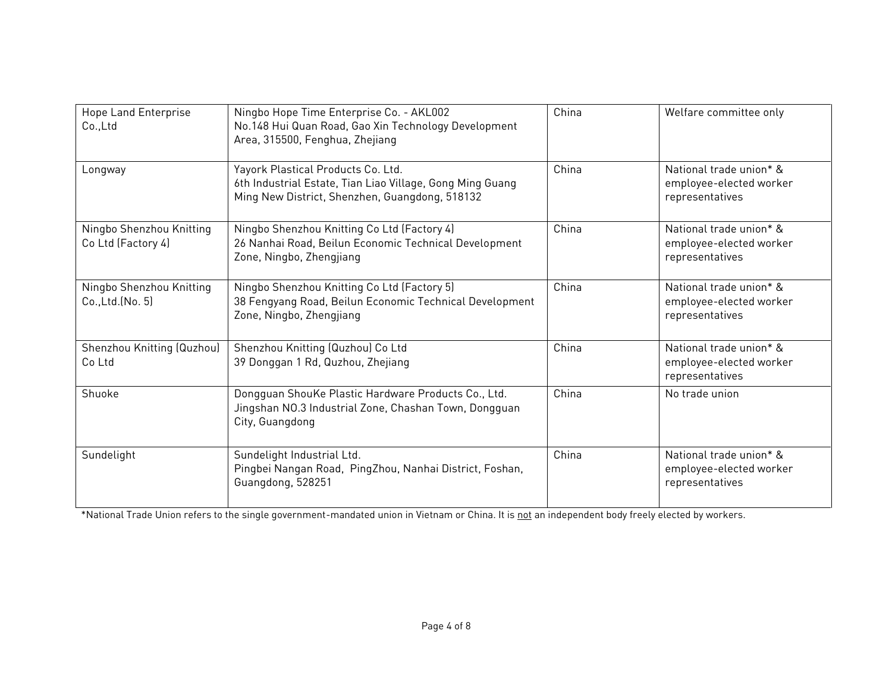| Hope Land Enterprise<br>Co., Ltd               | Ningbo Hope Time Enterprise Co. - AKL002<br>No.148 Hui Quan Road, Gao Xin Technology Development<br>Area, 315500, Fenghua, Zhejiang               | China | Welfare committee only                                                |
|------------------------------------------------|---------------------------------------------------------------------------------------------------------------------------------------------------|-------|-----------------------------------------------------------------------|
| Longway                                        | Yayork Plastical Products Co. Ltd.<br>6th Industrial Estate, Tian Liao Village, Gong Ming Guang<br>Ming New District, Shenzhen, Guangdong, 518132 | China | National trade union* &<br>employee-elected worker<br>representatives |
| Ningbo Shenzhou Knitting<br>Co Ltd (Factory 4) | Ningbo Shenzhou Knitting Co Ltd (Factory 4)<br>26 Nanhai Road, Beilun Economic Technical Development<br>Zone, Ningbo, Zhengjiang                  | China | National trade union* &<br>employee-elected worker<br>representatives |
| Ningbo Shenzhou Knitting<br>Co., Ltd. (No. 5)  | Ningbo Shenzhou Knitting Co Ltd (Factory 5)<br>38 Fengyang Road, Beilun Economic Technical Development<br>Zone, Ningbo, Zhengjiang                | China | National trade union* &<br>employee-elected worker<br>representatives |
| Shenzhou Knitting (Quzhou)<br>Co Ltd           | Shenzhou Knitting (Quzhou) Co Ltd<br>39 Donggan 1 Rd, Quzhou, Zhejiang                                                                            | China | National trade union* &<br>employee-elected worker<br>representatives |
| Shuoke                                         | Dongguan ShouKe Plastic Hardware Products Co., Ltd.<br>Jingshan NO.3 Industrial Zone, Chashan Town, Dongguan<br>City, Guangdong                   | China | No trade union                                                        |
| Sundelight                                     | Sundelight Industrial Ltd.<br>Pingbei Nangan Road, PingZhou, Nanhai District, Foshan,<br>Guangdong, 528251                                        | China | National trade union* &<br>employee-elected worker<br>representatives |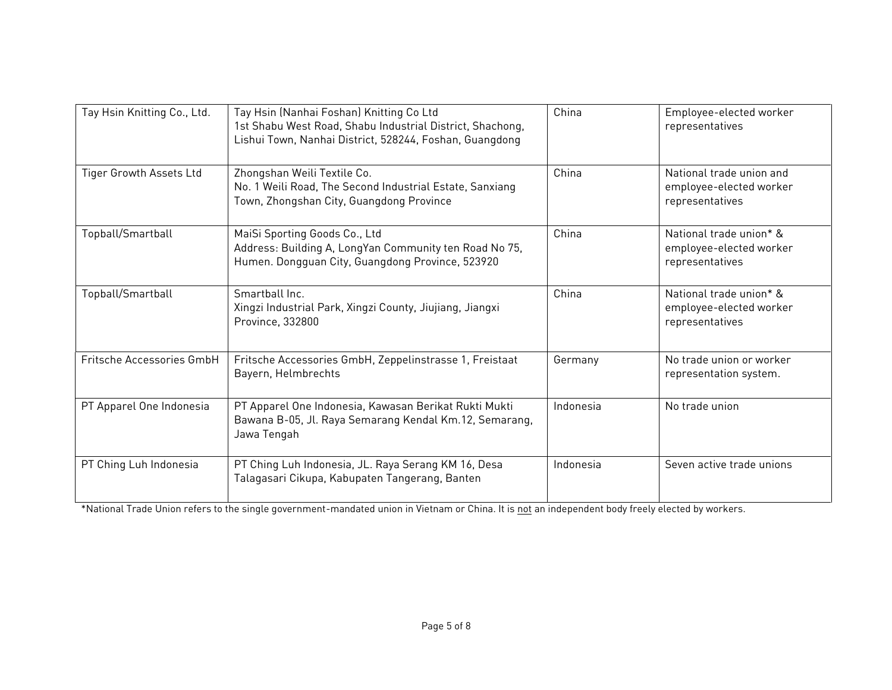| Tay Hsin Knitting Co., Ltd. | Tay Hsin (Nanhai Foshan) Knitting Co Ltd<br>1st Shabu West Road, Shabu Industrial District, Shachong,<br>Lishui Town, Nanhai District, 528244, Foshan, Guangdong | China     | Employee-elected worker<br>representatives                             |
|-----------------------------|------------------------------------------------------------------------------------------------------------------------------------------------------------------|-----------|------------------------------------------------------------------------|
| Tiger Growth Assets Ltd     | Zhongshan Weili Textile Co.<br>No. 1 Weili Road, The Second Industrial Estate, Sanxiang<br>Town, Zhongshan City, Guangdong Province                              | China     | National trade union and<br>employee-elected worker<br>representatives |
| Topball/Smartball           | MaiSi Sporting Goods Co., Ltd<br>Address: Building A, LongYan Community ten Road No 75,<br>Humen. Dongguan City, Guangdong Province, 523920                      | China     | National trade union* &<br>employee-elected worker<br>representatives  |
| Topball/Smartball           | Smarthall Inc.<br>Xingzi Industrial Park, Xingzi County, Jiujiang, Jiangxi<br>Province, 332800                                                                   | China     | National trade union* &<br>employee-elected worker<br>representatives  |
| Fritsche Accessories GmbH   | Fritsche Accessories GmbH, Zeppelinstrasse 1, Freistaat<br>Bayern, Helmbrechts                                                                                   | Germany   | No trade union or worker<br>representation system.                     |
| PT Apparel One Indonesia    | PT Apparel One Indonesia, Kawasan Berikat Rukti Mukti<br>Bawana B-05, Jl. Raya Semarang Kendal Km.12, Semarang,<br>Jawa Tengah                                   | Indonesia | No trade union                                                         |
| PT Ching Luh Indonesia      | PT Ching Luh Indonesia, JL. Raya Serang KM 16, Desa<br>Talagasari Cikupa, Kabupaten Tangerang, Banten                                                            | Indonesia | Seven active trade unions                                              |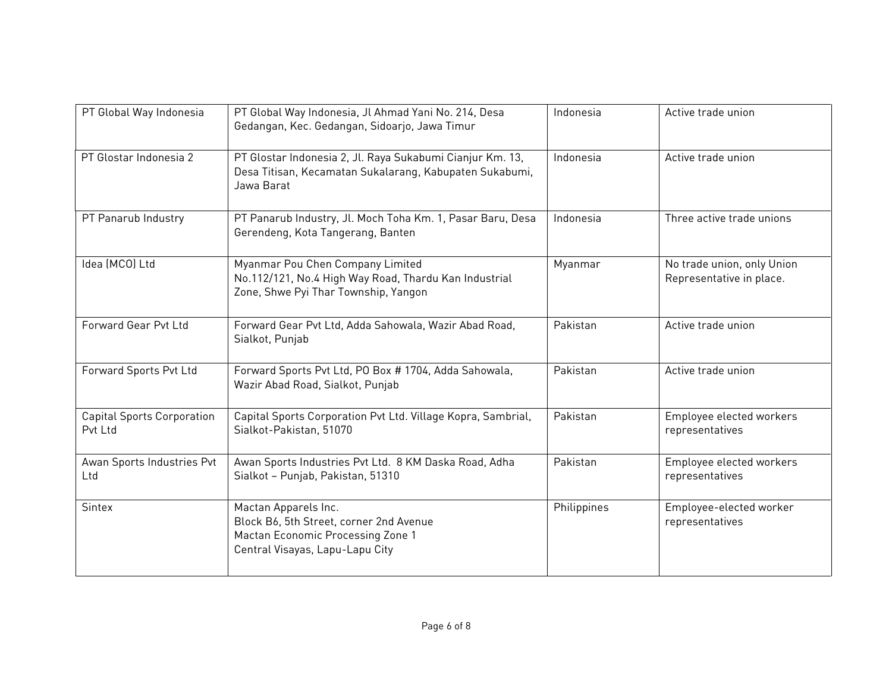| PT Global Way Indonesia                      | PT Global Way Indonesia, Jl Ahmad Yani No. 214, Desa<br>Gedangan, Kec. Gedangan, Sidoarjo, Jawa Timur                                   | Indonesia   | Active trade union                                     |
|----------------------------------------------|-----------------------------------------------------------------------------------------------------------------------------------------|-------------|--------------------------------------------------------|
| PT Glostar Indonesia 2                       | PT Glostar Indonesia 2, Jl. Raya Sukabumi Cianjur Km. 13,<br>Desa Titisan, Kecamatan Sukalarang, Kabupaten Sukabumi,<br>Jawa Barat      | Indonesia   | Active trade union                                     |
| PT Panarub Industry                          | PT Panarub Industry, Jl. Moch Toha Km. 1, Pasar Baru, Desa<br>Gerendeng, Kota Tangerang, Banten                                         | Indonesia   | Three active trade unions                              |
| Idea (MCO) Ltd                               | Myanmar Pou Chen Company Limited<br>No.112/121, No.4 High Way Road, Thardu Kan Industrial<br>Zone, Shwe Pyi Thar Township, Yangon       | Myanmar     | No trade union, only Union<br>Representative in place. |
| Forward Gear Pvt Ltd                         | Forward Gear Pvt Ltd, Adda Sahowala, Wazir Abad Road,<br>Sialkot, Punjab                                                                | Pakistan    | Active trade union                                     |
| Forward Sports Pvt Ltd                       | Forward Sports Pvt Ltd, PO Box # 1704, Adda Sahowala,<br>Wazir Abad Road, Sialkot, Punjab                                               | Pakistan    | Active trade union                                     |
| <b>Capital Sports Corporation</b><br>Pvt Ltd | Capital Sports Corporation Pvt Ltd. Village Kopra, Sambrial,<br>Sialkot-Pakistan, 51070                                                 | Pakistan    | Employee elected workers<br>representatives            |
| Awan Sports Industries Pvt<br>Ltd            | Awan Sports Industries Pvt Ltd. 8 KM Daska Road, Adha<br>Sialkot - Punjab, Pakistan, 51310                                              | Pakistan    | Employee elected workers<br>representatives            |
| <b>Sintex</b>                                | Mactan Apparels Inc.<br>Block B6, 5th Street, corner 2nd Avenue<br>Mactan Economic Processing Zone 1<br>Central Visayas, Lapu-Lapu City | Philippines | Employee-elected worker<br>representatives             |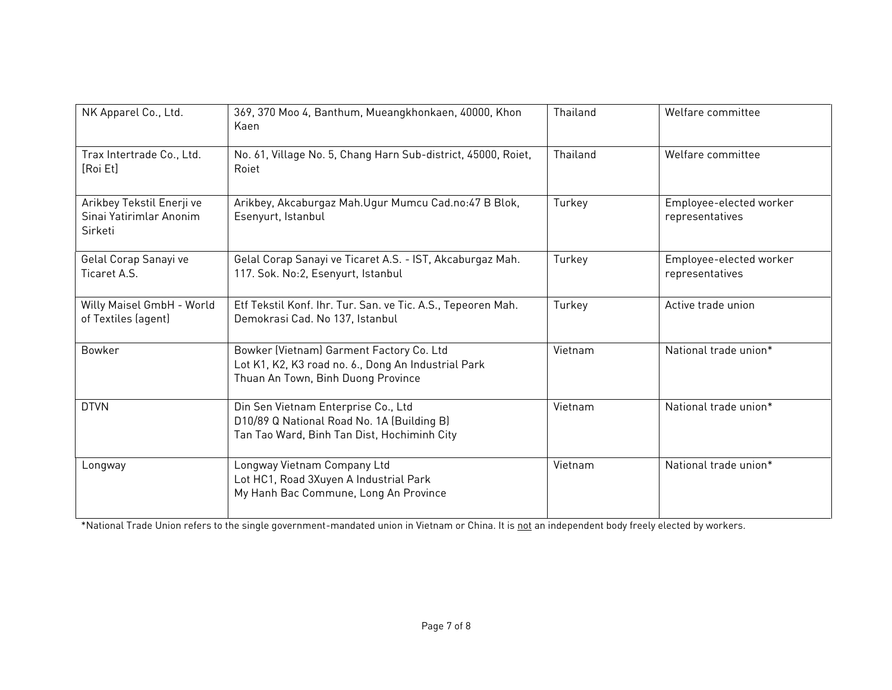| NK Apparel Co., Ltd.                                            | 369, 370 Moo 4, Banthum, Mueangkhonkaen, 40000, Khon<br>Kaen                                                                          | Thailand | Welfare committee                          |
|-----------------------------------------------------------------|---------------------------------------------------------------------------------------------------------------------------------------|----------|--------------------------------------------|
| Trax Intertrade Co., Ltd.<br>[Roi Et]                           | No. 61, Village No. 5, Chang Harn Sub-district, 45000, Roiet,<br>Roiet                                                                | Thailand | Welfare committee                          |
| Arikbey Tekstil Enerji ve<br>Sinai Yatirimlar Anonim<br>Sirketi | Arikbey, Akcaburgaz Mah.Ugur Mumcu Cad.no:47 B Blok,<br>Esenyurt, Istanbul                                                            | Turkey   | Employee-elected worker<br>representatives |
| Gelal Corap Sanayi ve<br>Ticaret A.S.                           | Gelal Corap Sanayi ve Ticaret A.S. - IST, Akcaburgaz Mah.<br>117. Sok. No:2, Esenyurt, Istanbul                                       | Turkey   | Employee-elected worker<br>representatives |
| Willy Maisel GmbH - World<br>of Textiles (agent)                | Etf Tekstil Konf. Ihr. Tur. San. ve Tic. A.S., Tepeoren Mah.<br>Demokrasi Cad. No 137, Istanbul                                       | Turkey   | Active trade union                         |
| Bowker                                                          | Bowker (Vietnam) Garment Factory Co. Ltd<br>Lot K1, K2, K3 road no. 6., Dong An Industrial Park<br>Thuan An Town, Binh Duong Province | Vietnam  | National trade union*                      |
| <b>DTVN</b>                                                     | Din Sen Vietnam Enterprise Co., Ltd<br>D10/89 Q National Road No. 1A (Building B)<br>Tan Tao Ward, Binh Tan Dist, Hochiminh City      | Vietnam  | National trade union*                      |
| Longway                                                         | Longway Vietnam Company Ltd<br>Lot HC1, Road 3Xuyen A Industrial Park<br>My Hanh Bac Commune, Long An Province                        | Vietnam  | National trade union*                      |